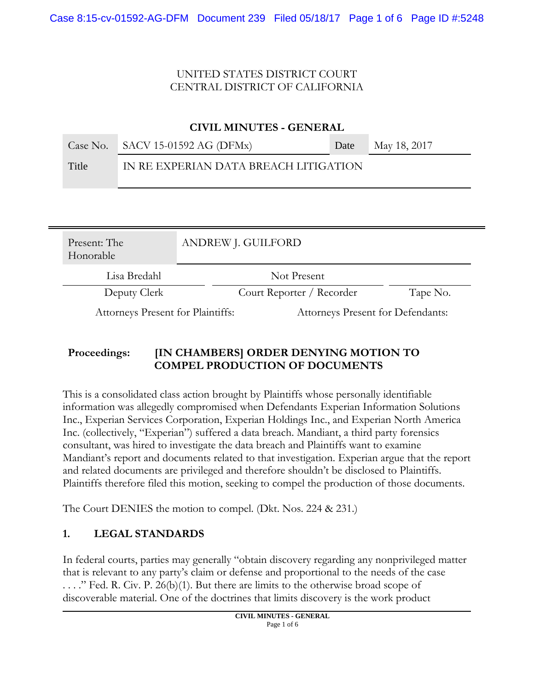| <b>CIVIL MINUTES - GENERAL</b> |  |                                       |  |      |              |
|--------------------------------|--|---------------------------------------|--|------|--------------|
| Case No.                       |  | SACV 15-01592 AG (DFMx)               |  | Date | May 18, 2017 |
| Title                          |  | IN RE EXPERIAN DATA BREACH LITIGATION |  |      |              |
|                                |  |                                       |  |      |              |
| Present: The                   |  | <b>ANDREW J. GUILFORD</b>             |  |      |              |

| 1.1002110.1110<br>Honorable       | $\mu$ with $\mu$ is so that since        |          |
|-----------------------------------|------------------------------------------|----------|
| Lisa Bredahl                      | Not Present                              |          |
| Deputy Clerk                      | Court Reporter / Recorder                | Tape No. |
| Attorneys Present for Plaintiffs: | <b>Attorneys Present for Defendants:</b> |          |

## **Proceedings: [IN CHAMBERS] ORDER DENYING MOTION TO COMPEL PRODUCTION OF DOCUMENTS**

This is a consolidated class action brought by Plaintiffs whose personally identifiable information was allegedly compromised when Defendants Experian Information Solutions Inc., Experian Services Corporation, Experian Holdings Inc., and Experian North America Inc. (collectively, "Experian") suffered a data breach. Mandiant, a third party forensics consultant, was hired to investigate the data breach and Plaintiffs want to examine Mandiant's report and documents related to that investigation. Experian argue that the report and related documents are privileged and therefore shouldn't be disclosed to Plaintiffs. Plaintiffs therefore filed this motion, seeking to compel the production of those documents.

The Court DENIES the motion to compel. (Dkt. Nos. 224 & 231.)

## **1. LEGAL STANDARDS**

In federal courts, parties may generally "obtain discovery regarding any nonprivileged matter that is relevant to any party's claim or defense and proportional to the needs of the case . . . ." Fed. R. Civ. P. 26(b)(1). But there are limits to the otherwise broad scope of discoverable material. One of the doctrines that limits discovery is the work product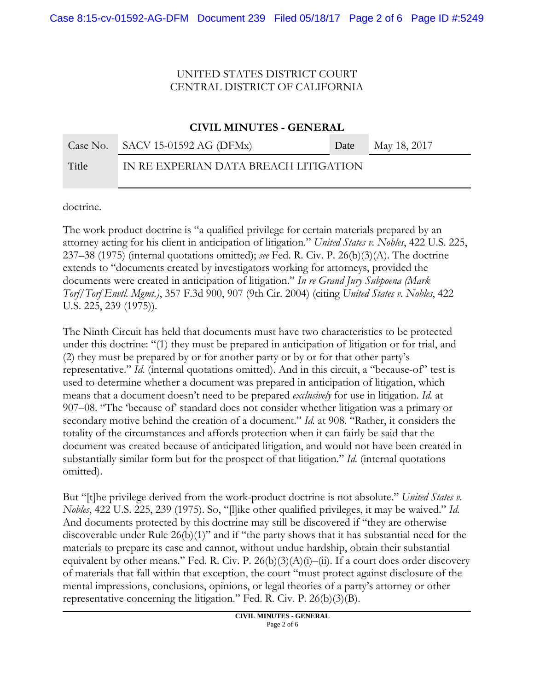#### **CIVIL MINUTES - GENERAL**

|       | Case No. SACV 15-01592 AG (DFMx)      | Date | May 18, 2017 |
|-------|---------------------------------------|------|--------------|
| Title | IN RE EXPERIAN DATA BREACH LITIGATION |      |              |

doctrine.

The work product doctrine is "a qualified privilege for certain materials prepared by an attorney acting for his client in anticipation of litigation." *United States v. Nobles*, 422 U.S. 225, 237–38 (1975) (internal quotations omitted); *see* Fed. R. Civ. P. 26(b)(3)(A). The doctrine extends to "documents created by investigators working for attorneys, provided the documents were created in anticipation of litigation." *In re Grand Jury Subpoena (Mark Torf/Torf Envtl. Mgmt.)*, 357 F.3d 900, 907 (9th Cir. 2004) (citing *United States v. Nobles*, 422 U.S. 225, 239 (1975)).

The Ninth Circuit has held that documents must have two characteristics to be protected under this doctrine: "(1) they must be prepared in anticipation of litigation or for trial, and (2) they must be prepared by or for another party or by or for that other party's representative." *Id.* (internal quotations omitted). And in this circuit, a "because-of" test is used to determine whether a document was prepared in anticipation of litigation, which means that a document doesn't need to be prepared *exclusively* for use in litigation. *Id.* at 907–08. "The 'because of' standard does not consider whether litigation was a primary or secondary motive behind the creation of a document." *Id.* at 908. "Rather, it considers the totality of the circumstances and affords protection when it can fairly be said that the document was created because of anticipated litigation, and would not have been created in substantially similar form but for the prospect of that litigation." *Id.* (internal quotations omitted).

But "[t]he privilege derived from the work-product doctrine is not absolute." *United States v. Nobles*, 422 U.S. 225, 239 (1975). So, "[l]ike other qualified privileges, it may be waived." *Id.*  And documents protected by this doctrine may still be discovered if "they are otherwise discoverable under Rule  $26(b)(1)$ " and if "the party shows that it has substantial need for the materials to prepare its case and cannot, without undue hardship, obtain their substantial equivalent by other means." Fed. R. Civ. P.  $26(b)(3)(A)(i)$ –(ii). If a court does order discovery of materials that fall within that exception, the court "must protect against disclosure of the mental impressions, conclusions, opinions, or legal theories of a party's attorney or other representative concerning the litigation." Fed. R. Civ. P.  $26(b)(3)(B)$ .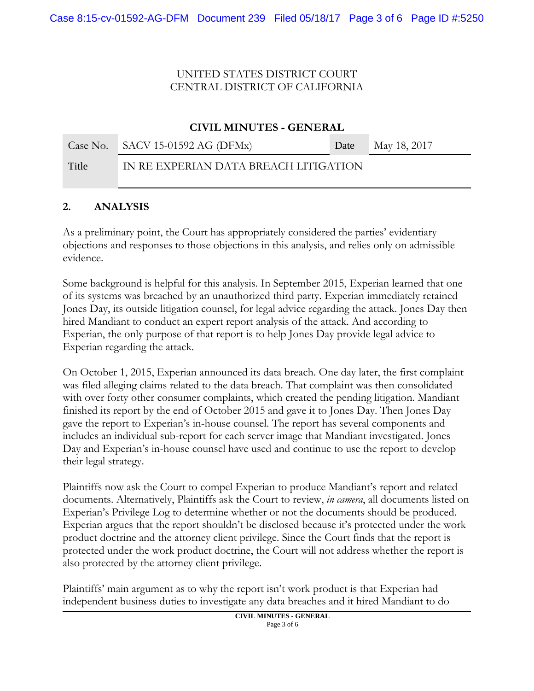#### **CIVIL MINUTES - GENERAL**

|       | Case No. $SACV$ 15-01592 AG (DFMx)    | Date | May 18, 2017 |
|-------|---------------------------------------|------|--------------|
| Title | IN RE EXPERIAN DATA BREACH LITIGATION |      |              |

#### **2. ANALYSIS**

As a preliminary point, the Court has appropriately considered the parties' evidentiary objections and responses to those objections in this analysis, and relies only on admissible evidence.

Some background is helpful for this analysis. In September 2015, Experian learned that one of its systems was breached by an unauthorized third party. Experian immediately retained Jones Day, its outside litigation counsel, for legal advice regarding the attack. Jones Day then hired Mandiant to conduct an expert report analysis of the attack. And according to Experian, the only purpose of that report is to help Jones Day provide legal advice to Experian regarding the attack.

On October 1, 2015, Experian announced its data breach. One day later, the first complaint was filed alleging claims related to the data breach. That complaint was then consolidated with over forty other consumer complaints, which created the pending litigation. Mandiant finished its report by the end of October 2015 and gave it to Jones Day. Then Jones Day gave the report to Experian's in-house counsel. The report has several components and includes an individual sub-report for each server image that Mandiant investigated. Jones Day and Experian's in-house counsel have used and continue to use the report to develop their legal strategy.

Plaintiffs now ask the Court to compel Experian to produce Mandiant's report and related documents. Alternatively, Plaintiffs ask the Court to review, *in camera*, all documents listed on Experian's Privilege Log to determine whether or not the documents should be produced. Experian argues that the report shouldn't be disclosed because it's protected under the work product doctrine and the attorney client privilege. Since the Court finds that the report is protected under the work product doctrine, the Court will not address whether the report is also protected by the attorney client privilege.

Plaintiffs' main argument as to why the report isn't work product is that Experian had independent business duties to investigate any data breaches and it hired Mandiant to do

> **CIVIL MINUTES - GENERAL** Page 3 of 6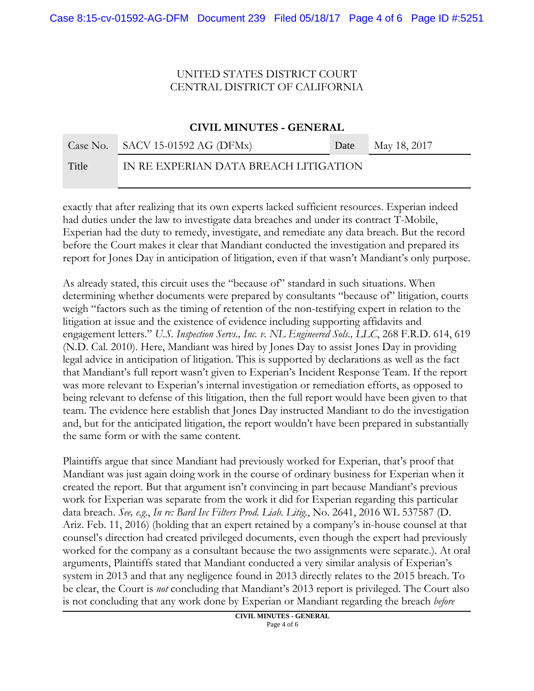#### **CIVIL MINUTES - GENERAL**

|       | Case No. $SACV$ 15-01592 AG (DFMx)    | <b>Date</b> May 18, 2017 |
|-------|---------------------------------------|--------------------------|
| Title | IN RE EXPERIAN DATA BREACH LITIGATION |                          |

exactly that after realizing that its own experts lacked sufficient resources. Experian indeed had duties under the law to investigate data breaches and under its contract T-Mobile, Experian had the duty to remedy, investigate, and remediate any data breach. But the record before the Court makes it clear that Mandiant conducted the investigation and prepared its report for Jones Day in anticipation of litigation, even if that wasn't Mandiant's only purpose.

As already stated, this circuit uses the "because of" standard in such situations. When determining whether documents were prepared by consultants "because of" litigation, courts weigh "factors such as the timing of retention of the non-testifying expert in relation to the litigation at issue and the existence of evidence including supporting affidavits and engagement letters." *U.S. Inspection Servs., Inc. v. NL Engineered Sols., LLC*, 268 F.R.D. 614, 619 (N.D. Cal. 2010). Here, Mandiant was hired by Jones Day to assist Jones Day in providing legal advice in anticipation of litigation. This is supported by declarations as well as the fact that Mandiant's full report wasn't given to Experian's Incident Response Team. If the report was more relevant to Experian's internal investigation or remediation efforts, as opposed to being relevant to defense of this litigation, then the full report would have been given to that team. The evidence here establish that Jones Day instructed Mandiant to do the investigation and, but for the anticipated litigation, the report wouldn't have been prepared in substantially the same form or with the same content.

Plaintiffs argue that since Mandiant had previously worked for Experian, that's proof that Mandiant was just again doing work in the course of ordinary business for Experian when it created the report. But that argument isn't convincing in part because Mandiant's previous work for Experian was separate from the work it did for Experian regarding this particular data breach. *See, e.g.*, *In re: Bard Ivc Filters Prod. Liab. Litig.*, No. 2641, 2016 WL 537587 (D. Ariz. Feb. 11, 2016) (holding that an expert retained by a company's in-house counsel at that counsel's direction had created privileged documents, even though the expert had previously worked for the company as a consultant because the two assignments were separate.). At oral arguments, Plaintiffs stated that Mandiant conducted a very similar analysis of Experian's system in 2013 and that any negligence found in 2013 directly relates to the 2015 breach. To be clear, the Court is *not* concluding that Mandiant's 2013 report is privileged. The Court also is not concluding that any work done by Experian or Mandiant regarding the breach *before*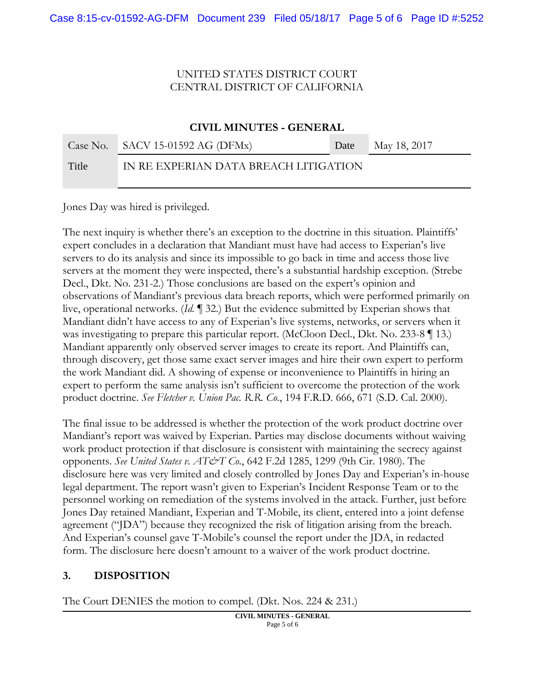# **CIVIL MINUTES - GENERAL** Case No. SACV 15-01592 AG (DFMx) Date May 18, 2017 Title IN RE EXPERIAN DATA BREACH LITIGATION

Jones Day was hired is privileged.

The next inquiry is whether there's an exception to the doctrine in this situation. Plaintiffs' expert concludes in a declaration that Mandiant must have had access to Experian's live servers to do its analysis and since its impossible to go back in time and access those live servers at the moment they were inspected, there's a substantial hardship exception. (Strebe Decl., Dkt. No. 231-2.) Those conclusions are based on the expert's opinion and observations of Mandiant's previous data breach reports, which were performed primarily on live, operational networks. (*Id. ¶* 32.) But the evidence submitted by Experian shows that Mandiant didn't have access to any of Experian's live systems, networks, or servers when it was investigating to prepare this particular report. (McCloon Decl., Dkt. No. 233-8 | 13.) Mandiant apparently only observed server images to create its report. And Plaintiffs can, through discovery, get those same exact server images and hire their own expert to perform the work Mandiant did. A showing of expense or inconvenience to Plaintiffs in hiring an expert to perform the same analysis isn't sufficient to overcome the protection of the work product doctrine. *See Fletcher v. Union Pac. R.R. Co.*, 194 F.R.D. 666, 671 (S.D. Cal. 2000).

The final issue to be addressed is whether the protection of the work product doctrine over Mandiant's report was waived by Experian. Parties may disclose documents without waiving work product protection if that disclosure is consistent with maintaining the secrecy against opponents. *See United States v. AT&T Co.*, 642 F.2d 1285, 1299 (9th Cir. 1980). The disclosure here was very limited and closely controlled by Jones Day and Experian's in-house legal department. The report wasn't given to Experian's Incident Response Team or to the personnel working on remediation of the systems involved in the attack. Further, just before Jones Day retained Mandiant, Experian and T-Mobile, its client, entered into a joint defense agreement ("JDA") because they recognized the risk of litigation arising from the breach. And Experian's counsel gave T-Mobile's counsel the report under the JDA, in redacted form. The disclosure here doesn't amount to a waiver of the work product doctrine.

#### **3. DISPOSITION**

The Court DENIES the motion to compel. (Dkt. Nos. 224 & 231.)

**CIVIL MINUTES - GENERAL** Page 5 of 6